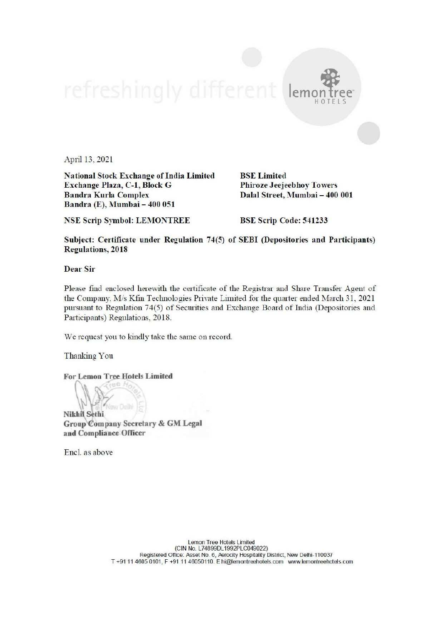April 13, 2021

National Stock Exchange of India Limited BSE Limited Exchange Plaza, C-1, Block G Phiroze Jeejeebhoy Towers Bandra Kurla Complex Dalal Street, Mumbai — 400 001 Bandra (E), Mumbai — 400 051

lemo

HOTELS

NSE Scrip Symbol: LEMONTREE BSE Scrip Code: 541233

Subject: Certificate under Regulation 74(5) of SEBI (Depositories and Participants) Regulations, 2018

Dear Sir

Please find enclosed herewith the certificate of the Registrar and Share Transfer Agent of the Company. M/s Kfin Technologies Private Limited for the quarter ended March 31, 2021 pursuant to Regulation 74(5) of Securities and Exchange Board of India (Depositories and Participants) Regulations, 2018.

We request you to kindly take the same on record.

Thanking You

For Lemon Tree Hotels Limited

J Nikhil Sethi Group'Company Secretary & GM Legal and Compliance Officer

Encl. as above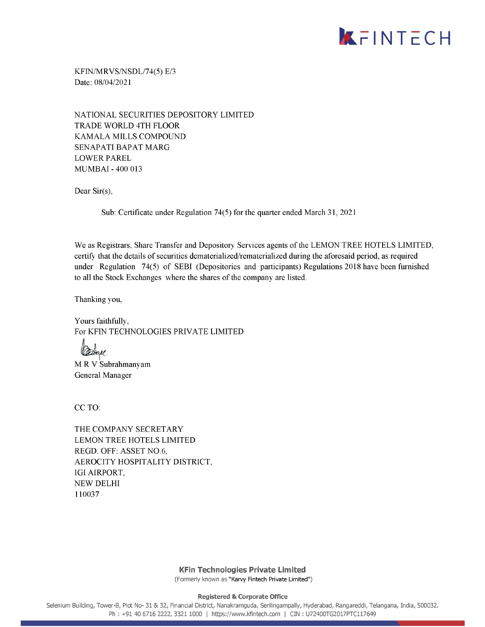

KFIN/MRVS/NSDL/74(5) E/3 Date: 08/04/2021

NATIONAL SECURITIES DEPOSITORY LIMITED TRADE WORLD 4TH FLOOR KAMALA MILLS COMPOUND SENAPATI BAPAT MARG LOWER PAREL MUMBAI - 400 013

Dear Sir(s),

Sub: Certificate under Regulation 74(5) for the quarter ended March 31, 2021

We as Registrars, Share Transfer and Depository Services agents of the LEMON TREE HOTELS LIMITED, certify that the details of securities dematerialized/rematerialized during the aforesaid period, as required under Regulation 74(5) of SEBI (Depositories and participants) Regulations 2018 have been furnished to all the Stock Exchanges where the shares of the company are listed.

Thanking you,

Yours faithfully, For KFIN TECHNOLOGIES PRIVATE LIMITED

i  $204$ 

MR V Subrahmanyam General Manager

CC TO:

THE COMPANY SECRETARY LEMON TREE HOTELS LIMITED REGD. OFF: ASSET NO.6, AEROCITY HOSPITALITY DISTRICT, IGI AIRPORT, NEW DELHI 110037

> KFin Technologies Private Limited (Formerly known as "Karvy Fintech Private Limited")

> > Registered & Corporate Office

Selenium Building, Tower-B, Plot No- 31 & 32, Financial District, Nanakramguda, Serilingampally, Hyderabad, Rangareddi, Telangana, India, 500032. Ph : +91 40 6716 2222, 3321 1000 | https://www.kfintech.com | CIN : U72400TG2017PTC117649  $\overline{\mathcal{O}}$